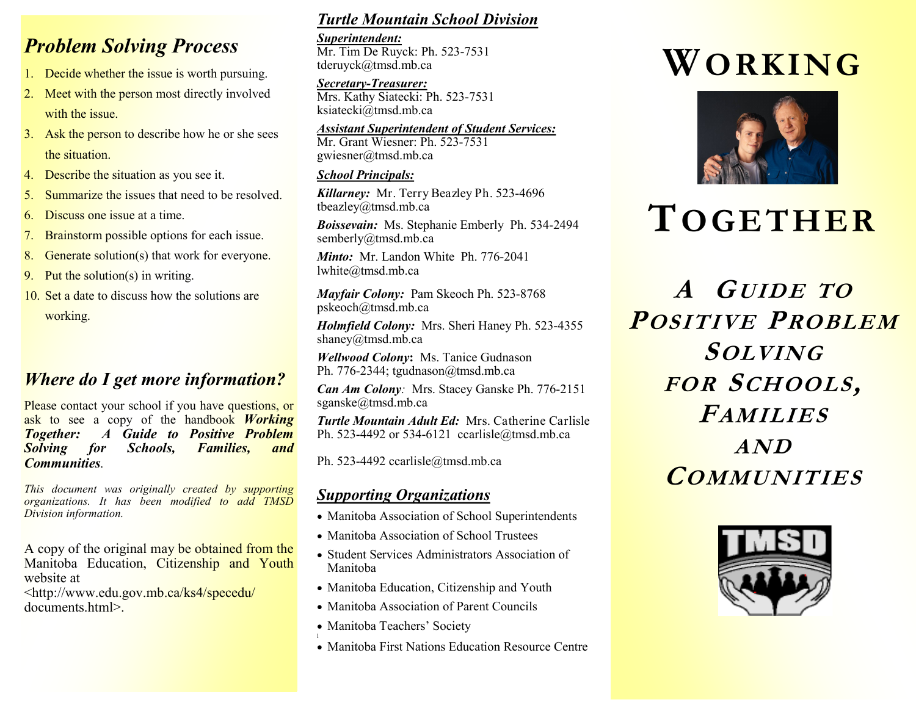## *Problem Solving Process*

- 1. Decide whether the issue is worth pursuing.
- 2. Meet with the person most directly involved with the issue.
- 3. Ask the person to describe how he or she sees the situation.
- 4. Describe the situation as you see it.
- 5. Summarize the issues that need to be resolved.
- 6. Discuss one issue at a time.
- 7. Brainstorm possible options for each issue.
- 8. Generate solution(s) that work for everyone.
- 9. Put the solution(s) in writing.
- 10. Set a date to discuss how the solutions are working.

## *Where do I get more information?*

Please contact your school if you have questions, or ask to see a copy of the handbook *Working Together: A Guide to Positive Problem Solving for Schools, Families, and Communities.*

*This document was originally created by supporting organizations. It has been modified to add TMSD Division information.*

A copy of the original may be obtained from the Manitoba Education, Citizenship and Youth website at

<http://www.edu.gov.mb.ca/ks4/specedu/ documents.html>.

#### *Turtle Mountain School Division*

*Superintendent:* Mr. Tim De Ruyck: Ph. 523-7531 tderuyck@tmsd.mb.ca

*Secretary-Treasurer:* Mrs. Kathy Siatecki: Ph. 523-7531 ksiatecki@tmsd.mb.ca

*Assistant Superintendent of Student Services:*

Mr. Grant Wiesner: Ph. 523-7531 gwiesner@tmsd.mb.ca

#### *School Principals:*

*Killarney:* Mr. Terry Beazley Ph. 523-4696 tbeazley@tmsd.mb.ca

*Boissevain:*Ms. Stephanie Emberly Ph. 534-2494 semberly@tmsd.mb.ca

*Minto:*Mr. Landon White Ph. 776-2041 lwhite@tmsd.mb.ca

*Mayfair Colony:*Pam Skeoch Ph. 523-8768 pskeoch@tmsd.mb.ca

*Holmfield Colony:*Mrs. Sheri Haney Ph. 523-4355 shaney@tmsd.mb.ca

*Wellwood Colony***:** Ms. Tanice Gudnason Ph. 776-2344; tgudnason@tmsd.mb.ca

*Can Am Colony:* Mrs. Stacey Ganske Ph. 776-2151 sganske@tmsd.mb.ca

*Turtle Mountain Adult Ed:* Mrs. Catherine Carlisle Ph. 523-4492 or 534-6121 ccarlisle@tmsd.mb.ca

Ph. 523-4492 ccarlisle@tmsd.mb.ca

### *Supporting Organizations*

- Manitoba Association of School Superintendents
- Manitoba Association of School Trustees
- Student Services Administrators Association of Manitoba
- Manitoba Education, Citizenship and Youth
- Manitoba Association of Parent Councils
- Manitoba Teachers' Society
- l Manitoba First Nations Education Resource Centre

# **WORKING**



# **TOGETHER**

**A GUIDE TO POSITIVE PROBLEM SOLVING FOR SCHOOLS, FAMILIES AND COMMUNITIES**